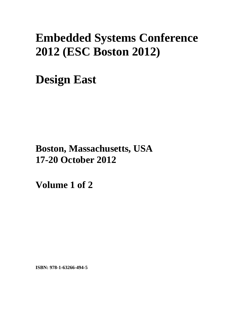# **Embedded Systems Conference 2012 (ESC Boston 2012)**

**Design East** 

**Boston, Massachusetts, USA 17-20 October 2012**

**Volume 1 of 2** 

**ISBN: 978-1-63266-494-5**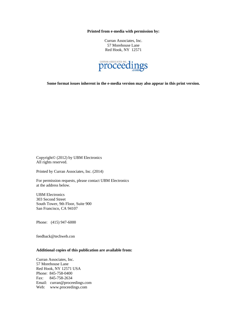**Printed from e-media with permission by:** 

Curran Associates, Inc. 57 Morehouse Lane Red Hook, NY 12571



**Some format issues inherent in the e-media version may also appear in this print version.** 

Copyright© (2012) by UBM Electronics All rights reserved.

Printed by Curran Associates, Inc. (2014)

For permission requests, please contact UBM Electronics at the address below.

UBM Electronics 303 Second Street South Tower, 9th Floor, Suite 900 San Francisco, CA 94107

Phone: (415) 947-6000

feedback@techweb.con

# **Additional copies of this publication are available from:**

Curran Associates, Inc. 57 Morehouse Lane Red Hook, NY 12571 USA Phone: 845-758-0400 Fax: 845-758-2634 Email: curran@proceedings.com Web: www.proceedings.com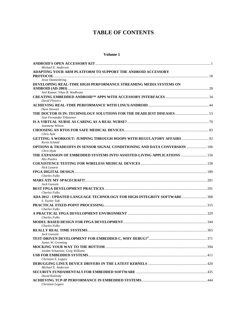# **TABLE OF CONTENTS**

# **Volume 1**

| Michael E. Anderson                                                                      |  |
|------------------------------------------------------------------------------------------|--|
| ADAPTING YOUR ARM PLATFORM TO SUPPORT THE ANDROID ACCESSORY                              |  |
|                                                                                          |  |
| Jesse Dannenbring<br>DEVELOPING REAL-TIME HIGH-PERFORMANCE STREAMING MEDIA SYSTEMS ON    |  |
|                                                                                          |  |
| Anil Kumar, Vikas R. Wadhvani                                                            |  |
|                                                                                          |  |
| <b>David Flowers</b>                                                                     |  |
|                                                                                          |  |
| Dave Stewart                                                                             |  |
|                                                                                          |  |
| Jose Fernandez Villasenor                                                                |  |
| Jeannette Wilson                                                                         |  |
|                                                                                          |  |
| Chris Ault                                                                               |  |
| <b>GETTING A WORKOUT: JUMPING THROUGH HOOPS WITH REGULATORY AFFAIRS  92</b>              |  |
| Kevin Schmid                                                                             |  |
| <b>OPTIONS &amp; TRADEOFFS IN SENSOR SIGNAL CONDITIONING AND DATA CONVERSION  106</b>    |  |
| Chris Hyde                                                                               |  |
| THE EXPANSION OF EMBEDDED SYSTEMS INTO ASSISTED-LIVING APPLICATIONS 150                  |  |
| Alix Paultre                                                                             |  |
| Nick Lasorte                                                                             |  |
|                                                                                          |  |
| <b>Charles Fulks</b>                                                                     |  |
|                                                                                          |  |
| Jack Ganssle                                                                             |  |
|                                                                                          |  |
| <b>Charles Fulks</b>                                                                     |  |
| ADA 2012 - UPDATED LANGUAGE TECHNOLOGY FOR HIGH-INTEGRITY SOFTWARE 308<br>S. Tucker Taft |  |
|                                                                                          |  |
| <b>Charles Fulks</b>                                                                     |  |
|                                                                                          |  |
| <b>Charles Fulks</b>                                                                     |  |
|                                                                                          |  |
| <b>Charles Fulks</b>                                                                     |  |
| Jack Ganssle                                                                             |  |
|                                                                                          |  |
| James W. Grenning                                                                        |  |
|                                                                                          |  |
| Jordan Schaenzie, Greg Williams                                                          |  |
|                                                                                          |  |
| Christian E. Legare                                                                      |  |
|                                                                                          |  |
| Michael E. Anderson                                                                      |  |
| David Kalinsky                                                                           |  |
|                                                                                          |  |
| Christian Legare                                                                         |  |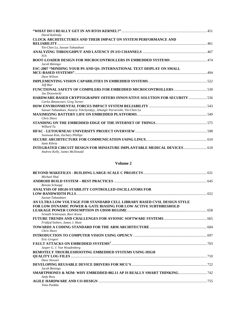| David Kalinsky                                                                                           |  |
|----------------------------------------------------------------------------------------------------------|--|
| <b>CLOCK ARCHITECTURES AND THEIR IMPACT ON SYSTEM PERFORMANCE AND</b>                                    |  |
|                                                                                                          |  |
| Yin-Chen Lu, Sassan Tabatabaei                                                                           |  |
|                                                                                                          |  |
| N/A                                                                                                      |  |
| Jacob Beningo                                                                                            |  |
| ESC-2007 "MINDING YOUR PS AND QS: INTERNATIONAL TEXT DISPLAY ON SMALL                                    |  |
|                                                                                                          |  |
| Dave Wilson                                                                                              |  |
|                                                                                                          |  |
| Jeff Bier                                                                                                |  |
|                                                                                                          |  |
| Joe Drzewiecki                                                                                           |  |
| <b>HARDWARE-BASED CRYPTOGRAPHY OFFERS INNOVATIVE SOLUTION FOR SECURITY </b> 536                          |  |
| Carlos Betancourt, Greg Turner                                                                           |  |
|                                                                                                          |  |
| Sassan Tabatabaei, Nazariy Tshchynskyy, Jehangir Parvereshi, Yin-Chen Lu                                 |  |
|                                                                                                          |  |
| Chris Shore                                                                                              |  |
|                                                                                                          |  |
| Willard Tu                                                                                               |  |
|                                                                                                          |  |
| Joonwan Kim, Zachary Phillips                                                                            |  |
|                                                                                                          |  |
| Sami Kibria                                                                                              |  |
| INTEGRATED CIRCUIT DESIGN FOR MINIATURE IMPLANTABLE MEDICAL DEVICES  618<br>Andrew Kelly, James McDonald |  |

# **Volume 2**

| Michael Shal                                                                |  |
|-----------------------------------------------------------------------------|--|
|                                                                             |  |
| Renota Schoepp                                                              |  |
| ANALYSIS OF HIGH-STABILITY CONTROLLED OSCILLATORS FOR                       |  |
|                                                                             |  |
| Sassan Tabatabaei                                                           |  |
| AN ULTRA LOW VOLTAGE FOR STANDARD CELL LIBRARY BASED CVSL DESIGN STYLE      |  |
| <b>FOR LOW DYNAMIC POWER &amp; GATE BIASING FOR LOW ACTIVE SUBTHRESHOLD</b> |  |
|                                                                             |  |
| Srinath Srinivasan, Ravi Arora                                              |  |
|                                                                             |  |
| Fridtjof Siebert, James J. Hunt                                             |  |
|                                                                             |  |
| Chris Shore                                                                 |  |
|                                                                             |  |
| Eric Gregori                                                                |  |
|                                                                             |  |
| Jasper G. J. Van Woudenberg                                                 |  |
| REMOTELY TROUBLESHOOTING EMBEDDED SYSTEMS USING HIGH                        |  |
|                                                                             |  |
| Dave Stewart                                                                |  |
|                                                                             |  |
| Jacob Beningo                                                               |  |
|                                                                             |  |
| Andy Ross                                                                   |  |
|                                                                             |  |
| Timo Punkka                                                                 |  |